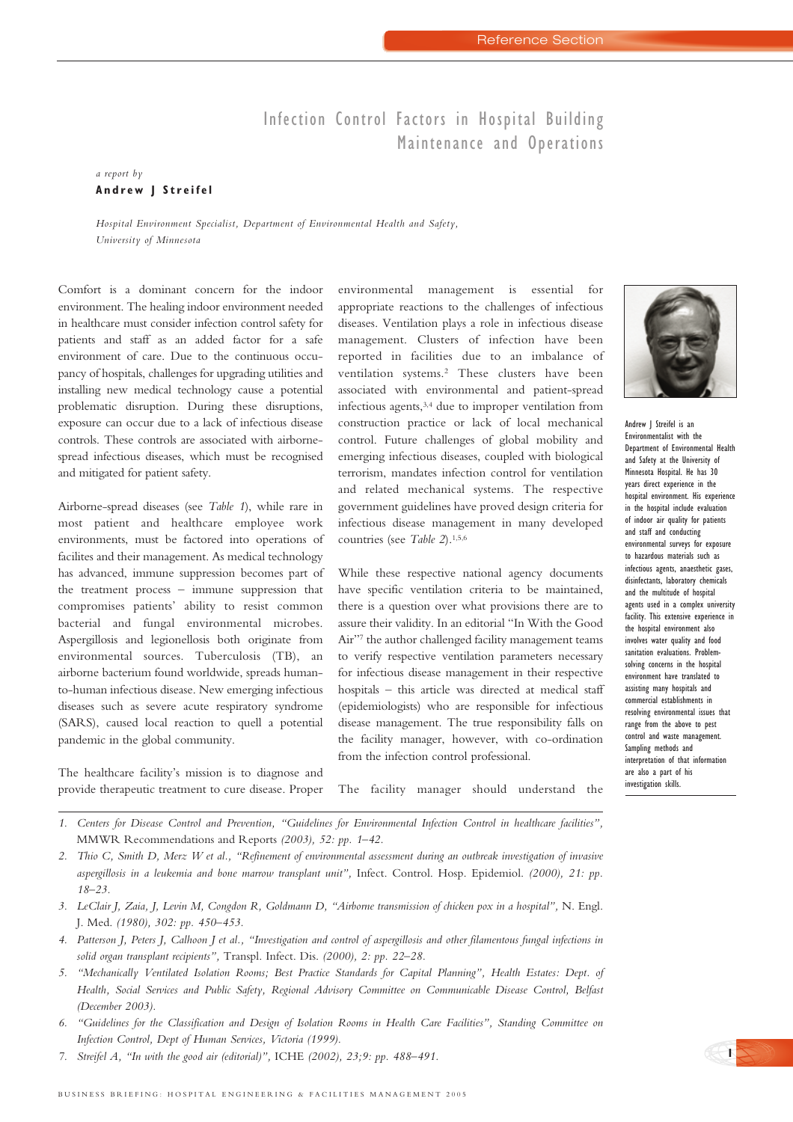## Infection Control Factors in Hospital Building Maintenance and Operations

## *a report by*  **Andrew J Streifel**

*Hospital Environment Specialist, Department of Environmental Health and Safety, University of Minnesota*

Comfort is a dominant concern for the indoor environment. The healing indoor environment needed in healthcare must consider infection control safety for patients and staff as an added factor for a safe environment of care. Due to the continuous occupancy of hospitals, challenges for upgrading utilities and installing new medical technology cause a potential problematic disruption. During these disruptions, exposure can occur due to a lack of infectious disease controls. These controls are associated with airbornespread infectious diseases, which must be recognised and mitigated for patient safety.

Airborne-spread diseases (see *Table 1*), while rare in most patient and healthcare employee work environments, must be factored into operations of facilites and their management. As medical technology has advanced, immune suppression becomes part of the treatment process – immune suppression that compromises patients' ability to resist common bacterial and fungal environmental microbes. Aspergillosis and legionellosis both originate from environmental sources. Tuberculosis (TB), an airborne bacterium found worldwide, spreads humanto-human infectious disease. New emerging infectious diseases such as severe acute respiratory syndrome (SARS), caused local reaction to quell a potential pandemic in the global community.

The healthcare facility's mission is to diagnose and provide therapeutic treatment to cure disease. Proper environmental management is essential for appropriate reactions to the challenges of infectious diseases. Ventilation plays a role in infectious disease management. Clusters of infection have been reported in facilities due to an imbalance of ventilation systems.2 These clusters have been associated with environmental and patient-spread infectious agents,3,4 due to improper ventilation from construction practice or lack of local mechanical control. Future challenges of global mobility and emerging infectious diseases, coupled with biological terrorism, mandates infection control for ventilation and related mechanical systems. The respective government guidelines have proved design criteria for infectious disease management in many developed countries (see *Table 2*).<sup>1,5,6</sup>

While these respective national agency documents have specific ventilation criteria to be maintained, there is a question over what provisions there are to assure their validity. In an editorial "In With the Good Air"7 the author challenged facility management teams to verify respective ventilation parameters necessary for infectious disease management in their respective hospitals – this article was directed at medical staff (epidemiologists) who are responsible for infectious disease management. The true responsibility falls on the facility manager, however, with co-ordination from the infection control professional.



Andrew J Streifel is an Environmentalist with the Department of Environmental Health and Safety at the University of Minnesota Hospital. He has 30 years direct experience in the hospital environment. His experience in the hospital include evaluation of indoor air quality for patients and staff and conducting environmental surveys for exposure to hazardous materials such as infectious agents, anaesthetic gases, disinfectants, laboratory chemicals and the multitude of hospital agents used in a complex university facility. This extensive experience in the hospital environment also involves water quality and food sanitation evaluations. Problemsolving concerns in the hospital environment have translated to assisting many hospitals and commercial establishments in resolving environmental issues that range from the above to pest control and waste management. Sampling methods and interpretation of that information are also a part of his investigation skills.

**1**

The facility manager should understand the

- *1. Centers for Disease Control and Prevention, "Guidelines for Environmental Infection Control in healthcare facilities",* MMWR Recommendations and Reports *(2003), 52: pp. 1–42.*
- *2. Thio C, Smith D, Merz W et al., "Refinement of environmental assessment during an outbreak investigation of invasive aspergillosis in a leukemia and bone marrow transplant unit",* Infect. Control. Hosp. Epidemiol. *(2000), 21: pp. 18–23.*
- *3. LeClair J, Zaia, J, Levin M, Congdon R, Goldmann D, "Airborne transmission of chicken pox in a hospital",* N. Engl. J. Med. *(1980), 302: pp. 450–453.*
- *4. Patterson J, Peters J, Calhoon J et al., "Investigation and control of aspergillosis and other filamentous fungal infections in solid organ transplant recipients",* Transpl. Infect. Dis. *(2000), 2: pp. 22–28.*
- *5. "Mechanically Ventilated Isolation Rooms; Best Practice Standards for Capital Planning", Health Estates: Dept. of Health, Social Services and Public Safety, Regional Advisory Committee on Communicable Disease Control, Belfast (December 2003).*
- *6. "Guidelines for the Classification and Design of Isolation Rooms in Health Care Facilities", Standing Committee on Infection Control, Dept of Human Services, Victoria (1999).*
- *7. Streifel A, "In with the good air (editorial)",* ICHE *(2002), 23;9: pp. 488–491.*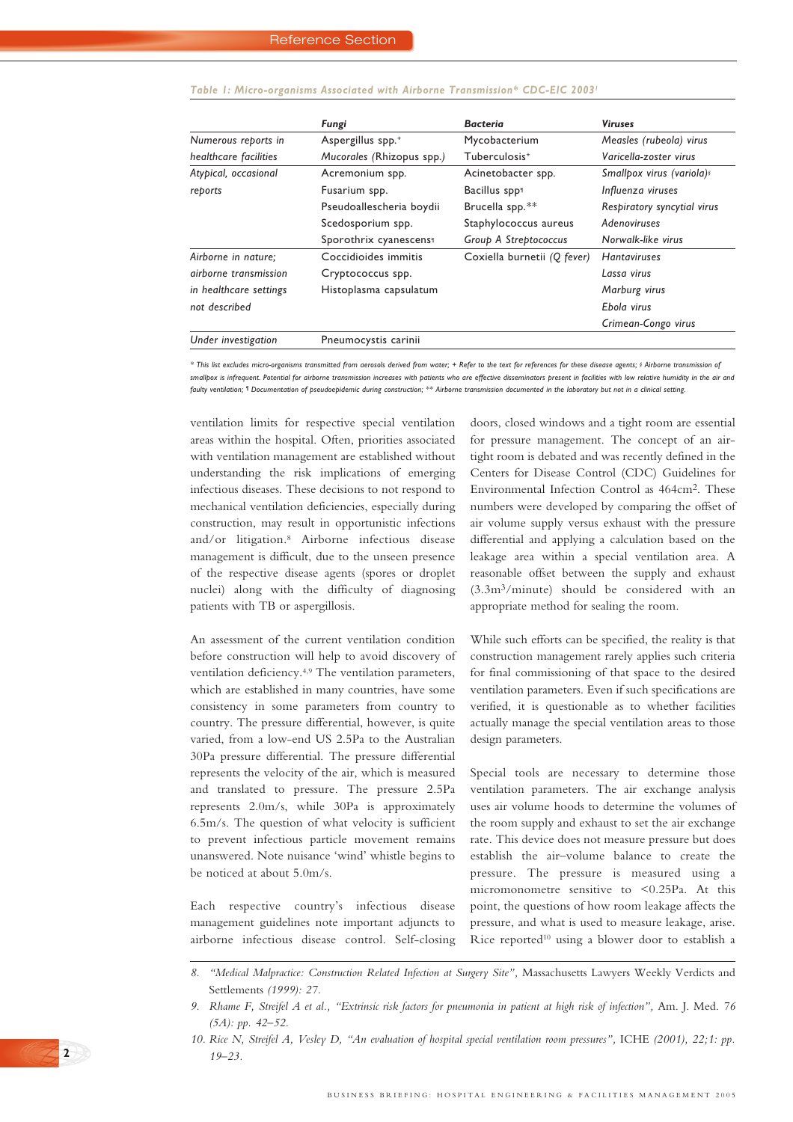|                        | Fungi                                               | <b>Bacteria</b>           | <b>Viruses</b>                                    |  |
|------------------------|-----------------------------------------------------|---------------------------|---------------------------------------------------|--|
| Numerous reports in    | Aspergillus spp. <sup>+</sup>                       | Mycobacterium             | Measles (rubeola) virus<br>Varicella-zoster virus |  |
| healthcare facilities  | Mucorales (Rhizopus spp.)                           | Tuberculosis <sup>+</sup> |                                                   |  |
| Atypical, occasional   | Acinetobacter spp.<br>Acremonium spp.               |                           | Smallpox virus (variola) s                        |  |
| reports                | Fusarium spp.                                       | Bacillus spp1             | Influenza viruses                                 |  |
|                        | Pseudoallescheria boydii                            | Brucella spp.**           | Respiratory syncytial virus                       |  |
|                        | Scedosporium spp.                                   | Staphylococcus aureus     | Adenoviruses                                      |  |
|                        | Sporothrix cyanescens <sup>1</sup>                  | Group A Streptococcus     | Norwalk-like virus                                |  |
| Airborne in nature;    | Coccidioides immitis<br>Coxiella burnetii (Q fever) |                           | <b>Hantaviruses</b>                               |  |
| airborne transmission  | Cryptococcus spp.                                   |                           | Lassa virus                                       |  |
| in healthcare settings | Histoplasma capsulatum                              |                           | Marburg virus                                     |  |
| not described          |                                                     |                           | Ebola virus                                       |  |
|                        |                                                     |                           | Crimean-Congo virus                               |  |
| Under investigation    | Pneumocystis carinii                                |                           |                                                   |  |

## *Table 1: Micro-organisms Associated with Airborne Transmission\* CDC-EIC 20031*

*\* This list excludes micro-organisms transmitted from aerosols derived from water; + Refer to the text for references for these disease agents; § Airborne transmission of smallpox is infrequent. Potential for airborne transmission increases with patients who are effective disseminators present in facilities with low relative humidity in the air and faulty ventilation; ¶ Documentation of pseudoepidemic during construction; \*\* Airborne transmission documented in the laboratory but not in a clinical setting.*

ventilation limits for respective special ventilation areas within the hospital. Often, priorities associated with ventilation management are established without understanding the risk implications of emerging infectious diseases. These decisions to not respond to mechanical ventilation deficiencies, especially during construction, may result in opportunistic infections and/or litigation.8 Airborne infectious disease management is difficult, due to the unseen presence of the respective disease agents (spores or droplet nuclei) along with the difficulty of diagnosing patients with TB or aspergillosis.

An assessment of the current ventilation condition before construction will help to avoid discovery of ventilation deficiency.4,9 The ventilation parameters, which are established in many countries, have some consistency in some parameters from country to country. The pressure differential, however, is quite varied, from a low-end US 2.5Pa to the Australian 30Pa pressure differential. The pressure differential represents the velocity of the air, which is measured and translated to pressure. The pressure 2.5Pa represents 2.0m/s, while 30Pa is approximately 6.5m/s. The question of what velocity is sufficient to prevent infectious particle movement remains unanswered. Note nuisance 'wind' whistle begins to be noticed at about 5.0m/s.

Each respective country's infectious disease management guidelines note important adjuncts to airborne infectious disease control. Self-closing

**2**

doors, closed windows and a tight room are essential for pressure management. The concept of an airtight room is debated and was recently defined in the Centers for Disease Control (CDC) Guidelines for Environmental Infection Control as 464cm2. These numbers were developed by comparing the offset of air volume supply versus exhaust with the pressure differential and applying a calculation based on the leakage area within a special ventilation area. A reasonable offset between the supply and exhaust (3.3m3/minute) should be considered with an appropriate method for sealing the room.

While such efforts can be specified, the reality is that construction management rarely applies such criteria for final commissioning of that space to the desired ventilation parameters. Even if such specifications are verified, it is questionable as to whether facilities actually manage the special ventilation areas to those design parameters.

Special tools are necessary to determine those ventilation parameters. The air exchange analysis uses air volume hoods to determine the volumes of the room supply and exhaust to set the air exchange rate. This device does not measure pressure but does establish the air–volume balance to create the pressure. The pressure is measured using a micromonometre sensitive to <0.25Pa. At this point, the questions of how room leakage affects the pressure, and what is used to measure leakage, arise. Rice reported10 using a blower door to establish a

<sup>8. &</sup>quot;Medical Malpractice: Construction Related Infection at Surgery Site", Massachusetts Lawyers Weekly Verdicts and Settlements *(1999): 27.*

*<sup>9.</sup> Rhame F, Streifel A et al., "Extrinsic risk factors for pneumonia in patient at high risk of infection",* Am. J. Med. *76 (5A): pp. 42–52.*

*<sup>10.</sup> Rice N, Streifel A, Vesley D, "An evaluation of hospital special ventilation room pressures",* ICHE *(2001), 22;1: pp. 19–23.*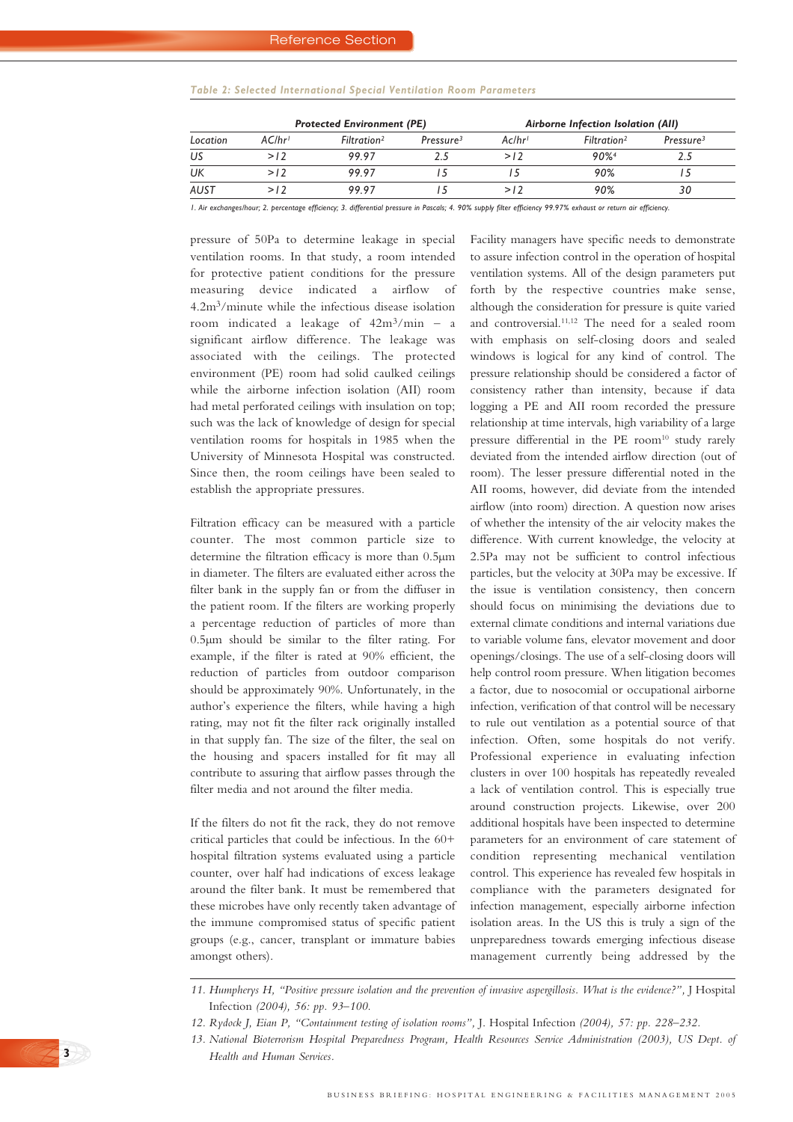## *Table 2: Selected International Special Ventilation Room Parameters*

| Location | <b>Protected Environment (PE)</b> |                         |                       | Airborne Infection Isolation (All) |                         |                       |
|----------|-----------------------------------|-------------------------|-----------------------|------------------------------------|-------------------------|-----------------------|
|          | AC/hr <sup>1</sup>                | Filtration <sup>2</sup> | Pressure <sup>3</sup> | Aclhr'                             | Filtration <sup>2</sup> | Pressure <sup>3</sup> |
| US       | >12                               | 99.97                   | 25                    | >12                                | 90%                     | 2.5                   |
| UK       | >12                               | 99.97                   |                       |                                    | 90%                     |                       |
| AUST     | >12                               | 9997                    |                       | >12                                | 90%                     | 30                    |

*1. Air exchanges/hour; 2. percentage efficiency; 3. differential pressure in Pascals; 4. 90% supply filter efficiency 99.97% exhaust or return air efficiency.*

pressure of 50Pa to determine leakage in special ventilation rooms. In that study, a room intended for protective patient conditions for the pressure measuring device indicated a airflow of 4.2m3/minute while the infectious disease isolation room indicated a leakage of 42m3/min – a significant airflow difference. The leakage was associated with the ceilings. The protected environment (PE) room had solid caulked ceilings while the airborne infection isolation (AII) room had metal perforated ceilings with insulation on top; such was the lack of knowledge of design for special ventilation rooms for hospitals in 1985 when the University of Minnesota Hospital was constructed. Since then, the room ceilings have been sealed to establish the appropriate pressures.

Filtration efficacy can be measured with a particle counter. The most common particle size to determine the filtration efficacy is more than 0.5µm in diameter. The filters are evaluated either across the filter bank in the supply fan or from the diffuser in the patient room. If the filters are working properly a percentage reduction of particles of more than 0.5µm should be similar to the filter rating. For example, if the filter is rated at 90% efficient, the reduction of particles from outdoor comparison should be approximately 90%. Unfortunately, in the author's experience the filters, while having a high rating, may not fit the filter rack originally installed in that supply fan. The size of the filter, the seal on the housing and spacers installed for fit may all contribute to assuring that airflow passes through the filter media and not around the filter media.

If the filters do not fit the rack, they do not remove critical particles that could be infectious. In the 60+ hospital filtration systems evaluated using a particle counter, over half had indications of excess leakage around the filter bank. It must be remembered that these microbes have only recently taken advantage of the immune compromised status of specific patient groups (e.g., cancer, transplant or immature babies amongst others).

Facility managers have specific needs to demonstrate to assure infection control in the operation of hospital ventilation systems. All of the design parameters put forth by the respective countries make sense, although the consideration for pressure is quite varied and controversial.11,12 The need for a sealed room with emphasis on self-closing doors and sealed windows is logical for any kind of control. The pressure relationship should be considered a factor of consistency rather than intensity, because if data logging a PE and AII room recorded the pressure relationship at time intervals, high variability of a large pressure differential in the PE room<sup>10</sup> study rarely deviated from the intended airflow direction (out of room). The lesser pressure differential noted in the AII rooms, however, did deviate from the intended airflow (into room) direction. A question now arises of whether the intensity of the air velocity makes the difference. With current knowledge, the velocity at 2.5Pa may not be sufficient to control infectious particles, but the velocity at 30Pa may be excessive. If the issue is ventilation consistency, then concern should focus on minimising the deviations due to external climate conditions and internal variations due to variable volume fans, elevator movement and door openings/closings. The use of a self-closing doors will help control room pressure. When litigation becomes a factor, due to nosocomial or occupational airborne infection, verification of that control will be necessary to rule out ventilation as a potential source of that infection. Often, some hospitals do not verify. Professional experience in evaluating infection clusters in over 100 hospitals has repeatedly revealed a lack of ventilation control. This is especially true around construction projects. Likewise, over 200 additional hospitals have been inspected to determine parameters for an environment of care statement of condition representing mechanical ventilation control. This experience has revealed few hospitals in compliance with the parameters designated for infection management, especially airborne infection isolation areas. In the US this is truly a sign of the unpreparedness towards emerging infectious disease management currently being addressed by the

<sup>11.</sup> Humpherys H, "Positive pressure isolation and the prevention of invasive aspergillosis. What is the evidence?", J Hospital Infection *(2004), 56: pp. 93–100.*

*<sup>12.</sup> Rydock J, Eian P, "Containment testing of isolation rooms",* J. Hospital Infection *(2004), 57: pp. 228–232.*

*<sup>13.</sup> National Bioterrorism Hospital Preparedness Program, Health Resources Service Administration (2003), US Dept. of Health and Human Services.*